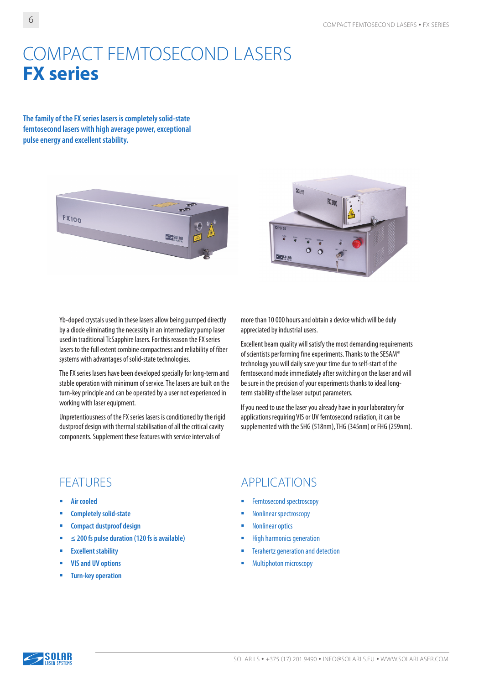# COMPACT FEMTOSECOND LASERS **FX series**

**The family of the FX series lasers is completely solid-state femtosecond lasers with high average power, exceptional pulse energy and excellent stability.**





Yb-doped crystals used in these lasers allow being pumped directly by a diode eliminating the necessity in an intermediary pump laser used in traditional Ti:Sapphire lasers. For this reason the FX series lasers to the full extent combine compactness and reliability of fiber systems with advantages of solid-state technologies.

The FX series lasers have been developed specially for long-term and stable operation with minimum of service. The lasers are built on the turn-key principle and can be operated by a user not experienced in working with laser equipment.

Unpretentiousness of the FX series lasers is conditioned by the rigid dustproof design with thermal stabilisation of all the critical cavity components. Supplement these features with service intervals of

more than 10 000 hours and obtain a device which will be duly appreciated by industrial users.

Excellent beam quality will satisfy the most demanding requirements of scientists performing fine experiments. Thanks to the SESAM® technology you will daily save your time due to self-start of the femtosecond mode immediately after switching on the laser and will be sure in the precision of your experiments thanks to ideal longterm stability of the laser output parameters.

If you need to use the laser you already have in your laboratory for applications requiring VIS or UV femtosecond radiation, it can be supplemented with the SHG (518nm), THG (345nm) or FHG (259nm).

- **Air cooled**
- **E** Completely solid-state
- **E** Compact dustproof design
- **≤ 200 fs pulse duration (120 fs is available)**
- **Excellent stability**
- **VIS and UV options**
- **Turn-key operation**

### FEATURES APPLICATIONS

- Femtosecond spectroscopy
- Nonlinear spectroscopy
- **Nonlinear optics**
- High harmonics generation
- **EXECUTE:** Terahertz generation and detection
- Multiphoton microscopy